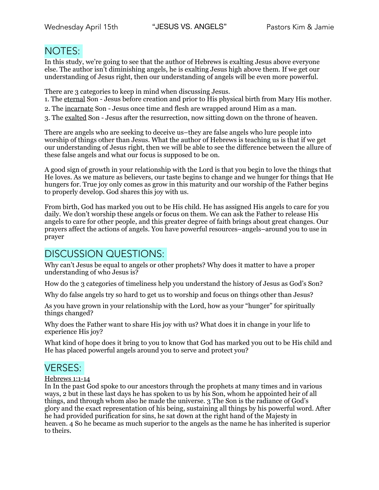# NOTES:

In this study, we're going to see that the author of Hebrews is exalting Jesus above everyone else. The author isn't diminishing angels, he is exalting Jesus high above them. If we get our understanding of Jesus right, then our understanding of angels will be even more powerful.

There are 3 categories to keep in mind when discussing Jesus.

- 1. The eternal Son Jesus before creation and prior to His physical birth from Mary His mother.
- 2. The incarnate Son Jesus once time and flesh are wrapped around Him as a man.
- 3. The exalted Son Jesus after the resurrection, now sitting down on the throne of heaven.

There are angels who are seeking to deceive us–they are false angels who lure people into worship of things other than Jesus. What the author of Hebrews is teaching us is that if we get our understanding of Jesus right, then we will be able to see the difference between the allure of these false angels and what our focus is supposed to be on.

A good sign of growth in your relationship with the Lord is that you begin to love the things that He loves. As we mature as believers, our taste begins to change and we hunger for things that He hungers for. True joy only comes as grow in this maturity and our worship of the Father begins to properly develop. God shares this joy with us.

From birth, God has marked you out to be His child. He has assigned His angels to care for you daily. We don't worship these angels or focus on them. We can ask the Father to release His angels to care for other people, and this greater degree of faith brings about great changes. Our prayers affect the actions of angels. You have powerful resources–angels–around you to use in prayer

# DISCUSSION QUESTIONS:

Why can't Jesus be equal to angels or other prophets? Why does it matter to have a proper understanding of who Jesus is?

How do the 3 categories of timeliness help you understand the history of Jesus as God's Son?

Why do false angels try so hard to get us to worship and focus on things other than Jesus?

As you have grown in your relationship with the Lord, how as your "hunger" for spiritually things changed?

Why does the Father want to share His joy with us? What does it in change in your life to experience His joy?

What kind of hope does it bring to you to know that God has marked you out to be His child and He has placed powerful angels around you to serve and protect you?

## VERSES:

### Hebrews 1:1-14

In In the past God spoke to our ancestors through the prophets at many times and in various ways, 2 but in these last days he has spoken to us by his Son, whom he appointed heir of all things, and through whom also he made the universe. 3 The Son is the radiance of God's glory and the exact representation of his being, sustaining all things by his powerful word. After he had provided purification for sins, he sat down at the right hand of the Majesty in heaven. 4 So he became as much superior to the angels as the name he has inherited is superior to theirs.